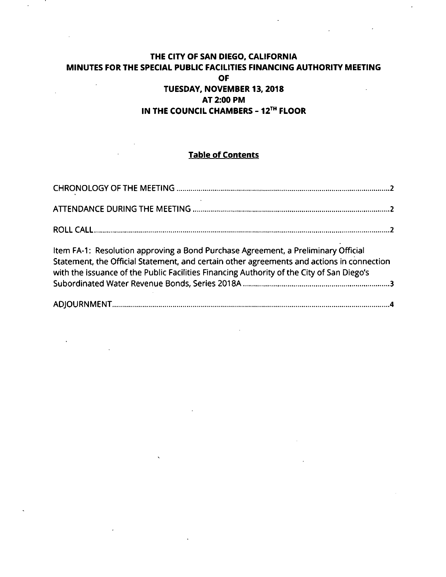## **THE CITY OF SAN DIEGO, CALIFORNIA MINUTES FOR THE SPECIAL PUBLIC FACILITIES FINANCING AUTHORITY MEETING OF**  $\ddot{\phantom{a}}$ **TUESDAY, NOVEMBER 13, 2018 AT 2:00 PM**

## **IN THE COUNCIL CHAMBERS - 12™ FLOOR**

# **Table of Contents**

| Item FA-1: Resolution approving a Bond Purchase Agreement, a Preliminary Official<br>Statement, the Official Statement, and certain other agreements and actions in connection<br>with the issuance of the Public Facilities Financing Authority of the City of San Diego's |  |
|-----------------------------------------------------------------------------------------------------------------------------------------------------------------------------------------------------------------------------------------------------------------------------|--|
|                                                                                                                                                                                                                                                                             |  |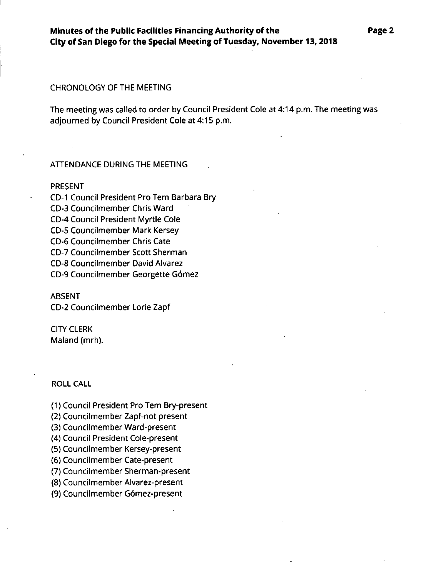### CHRONOLOGY OF THE MEETING

The meeting was called to order by Council President Cole at 4:14 p.m. The meeting was adjourned by Council President Cole at 4:15 p.m.

## ATTENDANCE DURING THE MEETING

### PRESENT

CD-I Council President Pro Tern Barbara Bry CD-3 Councilmember Chris Ward CD-4 Council President Myrtle Cole CD-5 Councilmember Mark Kersey CD-6 Councilmember Chris Cate CD-7 Councilmember Scott Sherman CD-8 Councilmember David Alvarez CD-9 Councilmember Georgette Gomez

#### ABSENT

CD-2 Councilmember Lorie Zapf

## CITY CLERK Maland (mrh).

## ROLL CALL

(1) Council President Pro Tern Bry-present

(2) Councilmember Zapf-not present

(3) Councilmember Ward-present

(4) Council President Cole-present

(5) Councilmember Kersey-present

(6) Councilmember Cate-present

(7) Councilmember Sherman-present

(8) Councilmember Alvarez-present

(9) Councilmember Gomez-present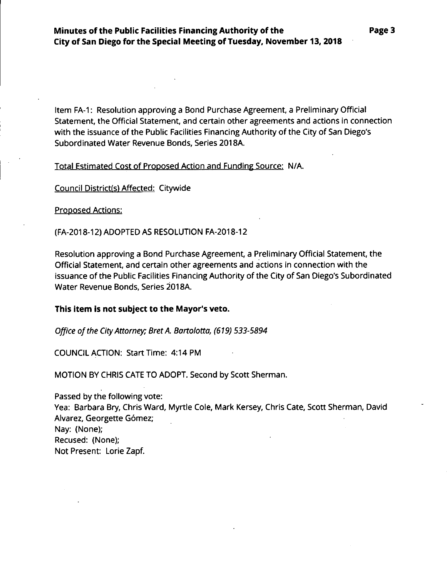Item FA-1: Resolution approving a Bond Purchase Agreement, a Preliminary Official Statement, the Official Statement, and certain other agreements and actions in connection with the issuance of the Public Facilities Financing Authority of the City of San Diego's Subordinated Water Revenue Bonds, Series 2018A.

Total Estimated Cost of Proposed Action and Funding Source: N/A.

Council District(s) Affected: Citywide

Proposed Actions:

(FA-2018-12) ADOPTED AS RESOLUTION FA-2018-12

Resolution approving a Bond Purchase Agreement, a Preliminary Official Statement, the Official Statement, and certain other agreements and actions in connection with the issuance of the Public Facilities Financing Authority of the City of San Diego's Subordinated Water Revenue Bonds, Series 2018A.

## **This item is not subject to the Mayor's veto.**

*Office ofthe CityAttorney: BretA. Bartolotta, (619) 533-5894*

COUNCIL ACTION: Start Time: 4:14PM

MOTION BY CHRIS CATE TO ADOPT. Second by Scott Sherman.

Passed by the following vote: Yea: Barbara Bry, Chris Ward, Myrtle Cole, Mark Kersey, Chris Cate, Scott Sherman, David Alvarez, Georgette Gómez; Nay: (None); Recused: (None); Not Present: Lorie Zapf.